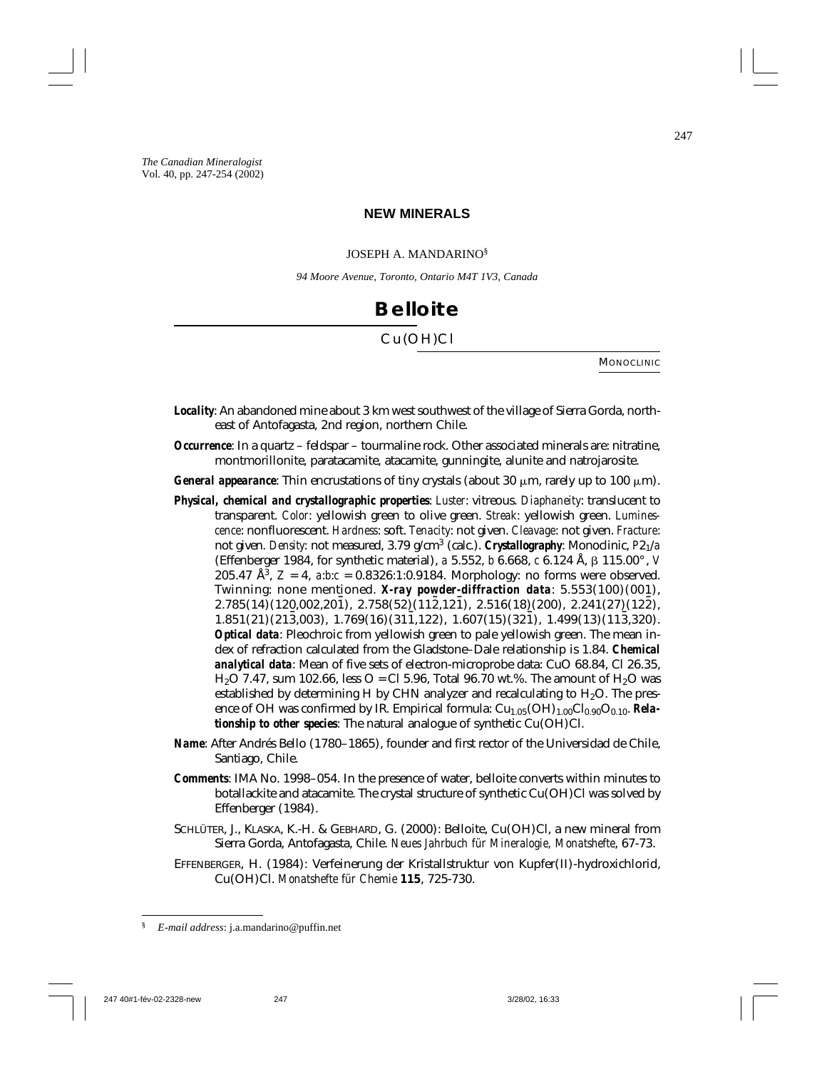#### **NEW MINERALS**

#### JOSEPH A. MANDARINO§

*94 Moore Avenue, Toronto, Ontario M4T 1V3, Canada*

## **Belloite**

#### Cu(OH)Cl

MONOCLINIC

- *Locality*: An abandoned mine about 3 km west southwest of the village of Sierra Gorda, northeast of Antofagasta, 2nd region, northern Chile.
- *Occurrence*: In a quartz feldspar tourmaline rock. Other associated minerals are: nitratine, montmorillonite, paratacamite, atacamite, gunningite, alunite and natrojarosite.
- *General appearance*: Thin encrustations of tiny crystals (about 30  $\mu$ m, rarely up to 100  $\mu$ m).
- *Physical, chemical and crystallographic properties*: *Luster*: vitreous. *Diaphaneity*: translucent to transparent. *Color*: yellowish green to olive green. *Streak*: yellowish green. *Luminescence*: nonfluorescent. *Hardness*: soft. *Tenacity*: not given. *Cleavage*: not given. *Fracture*: not given. *Density*: not measured, 3.79 g/cm3 (calc.). *Crystallography*: Monoclinic, *P*21/*a* (Effenberger 1984, for synthetic material), *a* 5.552, *b* 6.668, *c* 6.124 Å, β 115.00°, *V* 205.47  $\AA^3$ ,  $Z = 4$ ,  $a:b:c = 0.8326:1:0.9184$ . Morphology: no forms were observed. Twinning: none mentioned. *X-ray powder-diffraction data*: 5.553(100)(001),  $2.785(14)(120,002,20\bar{1}), 2.758(52)(11\bar{2},12\bar{1}), 2.516(18)(200), 2.241(27)(12\bar{2}),$  $1.851(21)(21\bar{3},003), 1.769(16)(31\bar{1},122), 1.607(15)(32\bar{1}), 1.499(13)(11\bar{3},320).$ *Optical data*: Pleochroic from yellowish green to pale yellowish green. The mean index of refraction calculated from the Gladstone–Dale relationship is 1.84. *Chemical analytical data*: Mean of five sets of electron-microprobe data: CuO 68.84, Cl 26.35,  $H_2O$  7.47, sum 102.66, less  $O = Cl$  5.96, Total 96.70 wt.%. The amount of  $H_2O$  was established by determining H by CHN analyzer and recalculating to  $H_2O$ . The presence of OH was confirmed by IR. Empirical formula: Cu<sub>1.05</sub>(OH)<sub>1.00</sub>Cl<sub>0.90</sub>O<sub>0.10</sub>. *Relationship to other species*: The natural analogue of synthetic Cu(OH)Cl.
- *Name*: After Andrés Bello (1780–1865), founder and first rector of the Universidad de Chile, Santiago, Chile.
- *Comments*: IMA No. 1998–054. In the presence of water, belloite converts within minutes to botallackite and atacamite. The crystal structure of synthetic Cu(OH)Cl was solved by Effenberger (1984).
- SCHLÜTER, J., KLASKA, K.-H. & GEBHARD, G. (2000): Belloite, Cu(OH)Cl, a new mineral from Sierra Gorda, Antofagasta, Chile. *Neues Jahrbuch für Mineralogie, Monatshefte*, 67-73.
- EFFENBERGER, H. (1984): Verfeinerung der Kristallstruktur von Kupfer(II)-hydroxichlorid, Cu(OH)Cl. *Monatshefte für Chemie* **115**, 725-730.

<sup>§</sup> *E-mail address*: j.a.mandarino@puffin.net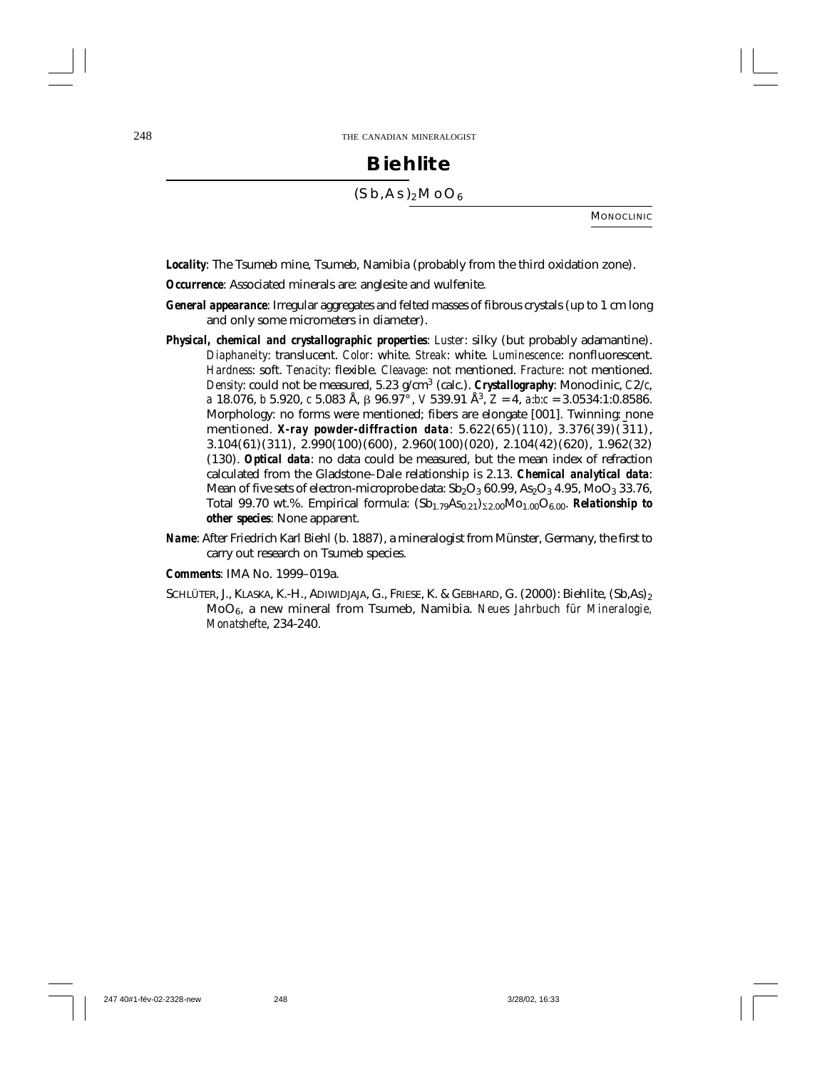# **Biehlite**  $(Sb, As)_2MOO_6$

**MONOCLINIC** 

*Locality*: The Tsumeb mine, Tsumeb, Namibia (probably from the third oxidation zone).

- *Occurrence*: Associated minerals are: anglesite and wulfenite.
- *General appearance*: Irregular aggregates and felted masses of fibrous crystals (up to 1 cm long and only some micrometers in diameter).
- *Physical, chemical and crystallographic properties*: *Luster*: silky (but probably adamantine). *Diaphaneity*: translucent. *Color*: white. *Streak*: white. *Luminescence*: nonfluorescent. *Hardness*: soft. *Tenacity*: flexible. *Cleavage*: not mentioned. *Fracture*: not mentioned. *Density*: could not be measured, 5.23 g/cm3 (calc.). *Crystallography*: Monoclinic, *C*2/*c*, *a* 18.076, *b* 5.920, *c* 5.083 Å,  $\beta$  96.97°, *V* 539.91 Å<sup>3</sup>, *Z* = 4, *a*:*b*:*c* = 3.0534:1:0.8586. Morphology: no forms were mentioned; fibers are elongate [001]. Twinning: none mentioned. *X-ray powder-diffraction data*: 5.622(65)(110), 3.376(39)(311), 3.104(61)(311), 2.990(100)(600), 2.960(100)(020), 2.104(42)(620), 1.962(32) (130). *Optical data*: no data could be measured, but the mean index of refraction calculated from the Gladstone–Dale relationship is 2.13. *Chemical analytical data*: Mean of five sets of electron-microprobe data:  $Sb_2O_3$  60.99,  $As_2O_3$  4.95, MoO<sub>3</sub> 33.76, Total 99.70 wt.%. Empirical formula:  $(Sb_{1.79}As_{0.21})_{\Sigma2.00}Mo_{1.00}O_{6.00}$ . *Relationship to other species*: None apparent.
- *Name*: After Friedrich Karl Biehl (b. 1887), a mineralogist from Münster, Germany, the first to carry out research on Tsumeb species.

*Comments*: IMA No. 1999–019a.

SCHLÜTER, J., KLASKA, K.-H., ADIWIDJAJA, G., FRIESE, K. & GEBHARD, G. (2000): Biehlite, (Sb.As)<sub>2</sub> MoO6, a new mineral from Tsumeb, Namibia. *Neues Jahrbuch für Mineralogie, Monatshefte*, 234-240.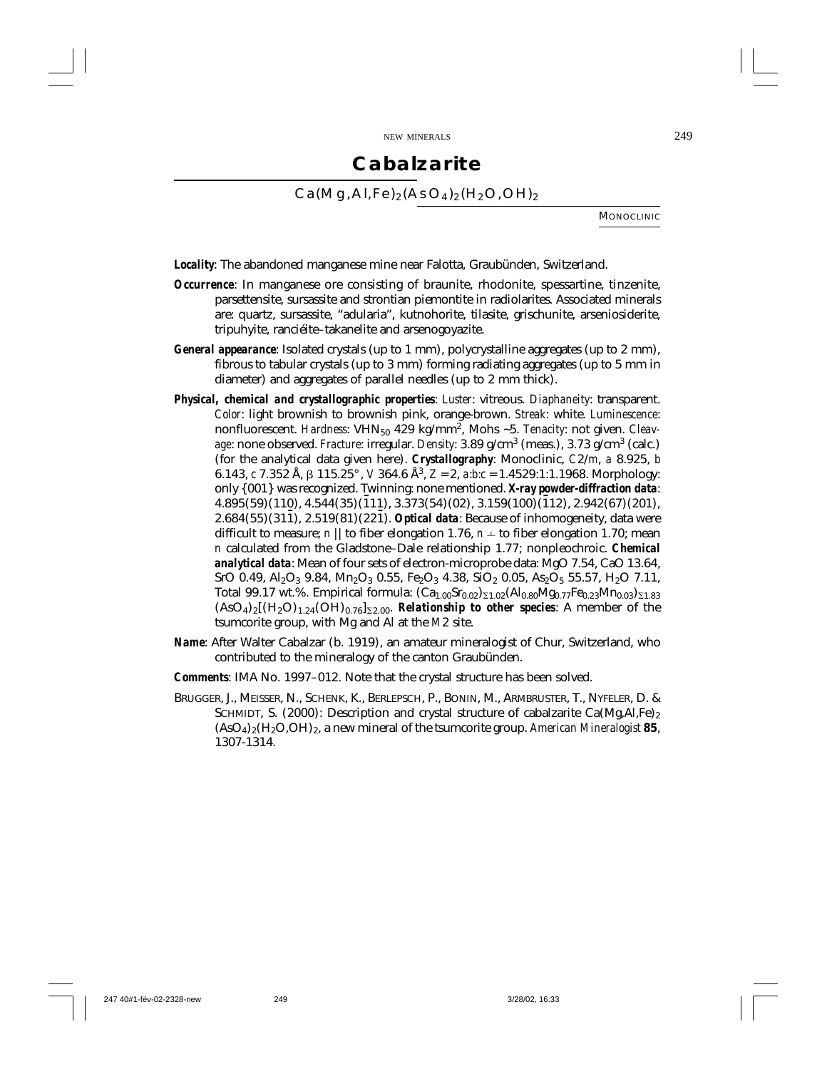## **Cabalzarite**

 $Ca(Mq, Al,Fe)_{2}(AsO<sub>4</sub>)_{2}(H<sub>2</sub>O,OH)_{2}$ 

**MONOCLINIC** 

*Locality*: The abandoned manganese mine near Falotta, Graubünden, Switzerland.

- *Occurrence*: In manganese ore consisting of braunite, rhodonite, spessartine, tinzenite, parsettensite, sursassite and strontian piemontite in radiolarites. Associated minerals are: quartz, sursassite, "adularia", kutnohorite, tilasite, grischunite, arseniosiderite, tripuhyite, ranciéite–takanelite and arsenogoyazite.
- *General appearance*: Isolated crystals (up to 1 mm), polycrystalline aggregates (up to 2 mm), fibrous to tabular crystals (up to 3 mm) forming radiating aggregates (up to 5 mm in diameter) and aggregates of parallel needles (up to 2 mm thick).
- *Physical, chemical and crystallographic properties*: *Luster*: vitreous. *Diaphaneity*: transparent. *Color*: light brownish to brownish pink, orange-brown. *Streak*: white. *Luminescence*: nonfluorescent. *Hardness*: VHN<sub>50</sub> 429 kg/mm<sup>2</sup>, Mohs ~5. *Tenacity*: not given. *Cleavage*: none observed. *Fracture*: irregular. *Density*: 3.89 g/cm3 (meas.), 3.73 g/cm3 (calc.) (for the analytical data given here). *Crystallography*: Monoclinic, *C*2/*m*, *a* 8.925, *b* 6.143, *c* 7.352 Å, β 115.25°, *V* 364.6 Å<sup>3</sup>, *Z* = 2, *a*:*b*:*c* = 1.4529:1:1.1968. Morphology: only {001} was recognized. Twinning: none mentioned. *X-ray powder-diffraction data*:  $4.895(59)(110)$ ,  $4.544(35)(\overline{1}11)$ ,  $3.373(54)(02)$ ,  $3.159(100)(\overline{1}12)$ ,  $2.942(67)(201)$ , 2.684(55)(311), 2.519(81)(221). *Optical data*: Because of inhomogeneity, data were difficult to measure; *n* || to fiber elongation 1.76, *n*  $\pm$  to fiber elongation 1.70; mean *n* calculated from the Gladstone–Dale relationship 1.77; nonpleochroic. *Chemical analytical data*: Mean of four sets of electron-microprobe data: MgO 7.54, CaO 13.64, SrO 0.49, Al<sub>2</sub>O<sub>3</sub> 9.84, Mn<sub>2</sub>O<sub>3</sub> 0.55, Fe<sub>2</sub>O<sub>3</sub> 4.38, SiO<sub>2</sub> 0.05, As<sub>2</sub>O<sub>5</sub> 55.57, H<sub>2</sub>O 7.11, Total 99.17 wt.%. Empirical formula:  $(Ca_{1.00}Sr_{0.02})_{\Sigma1.02}(Al_{0.80}Mg_{0.77}Fe_{0.23}Mn_{0.03})_{\Sigma1.83}$  $(ASO<sub>4</sub>)<sub>2</sub>[(H<sub>2</sub>O)<sub>1.24</sub>(OH)<sub>0.76</sub>]$ <sub>22.00</sub>. *Relationship to other species*: A member of the tsumcorite group, with Mg and Al at the *M*2 site.
- *Name*: After Walter Cabalzar (b. 1919), an amateur mineralogist of Chur, Switzerland, who contributed to the mineralogy of the canton Graubünden.
- *Comments*: IMA No. 1997–012. Note that the crystal structure has been solved.
- BRUGGER, J., MEISSER, N., SCHENK, K., BERLEPSCH, P., BONIN, M., ARMBRUSTER, T., NYFELER, D. & SCHMIDT, S. (2000): Description and crystal structure of cabalzarite Ca(Mg,Al,Fe)<sub>2</sub> (AsO4)2(H2O,OH)2, a new mineral of the tsumcorite group. *American Mineralogist* **85**, 1307-1314.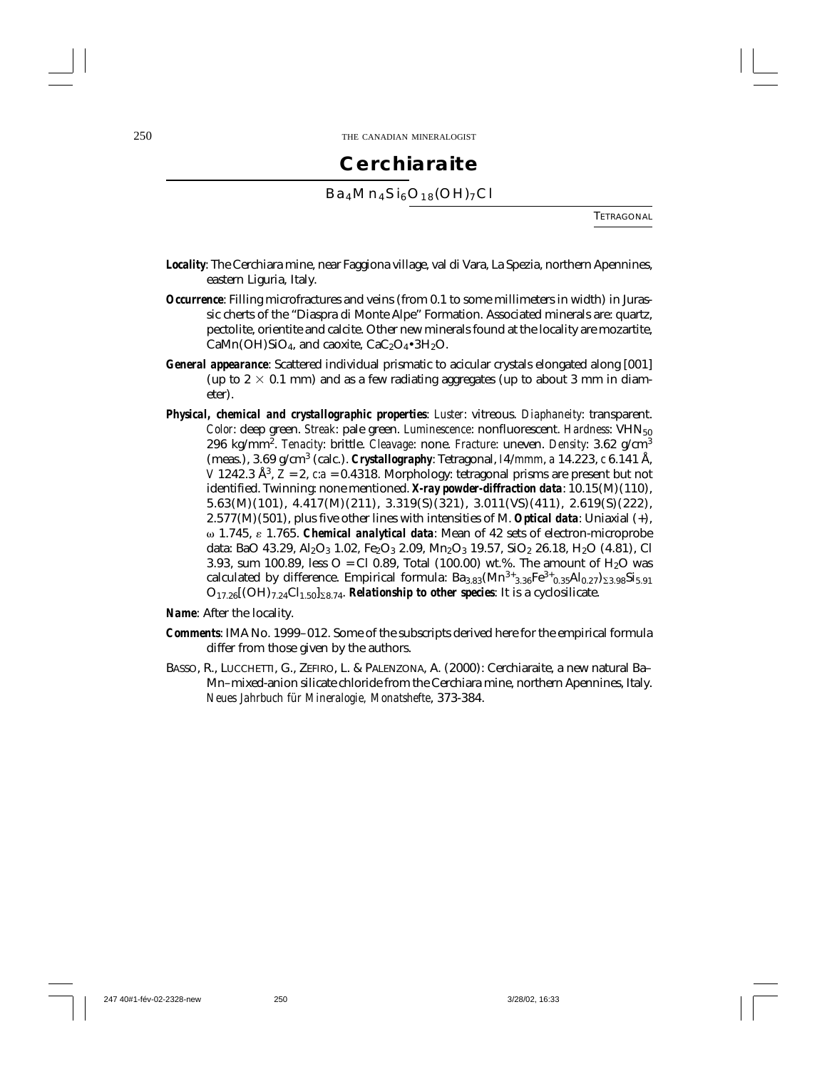#### **Cerchiaraite**

 $Ba_4Mn_4Si_6O_{18}(OH)_{7}Cl$ 

TETRAGONAL

- *Locality*: The Cerchiara mine, near Faggiona village, val di Vara, La Spezia, northern Apennines, eastern Liguria, Italy.
- *Occurrence*: Filling microfractures and veins (from 0.1 to some millimeters in width) in Jurassic cherts of the "Diaspra di Monte Alpe" Formation. Associated minerals are: quartz, pectolite, orientite and calcite. Other new minerals found at the locality are mozartite, CaMn(OH)SiO<sub>4</sub>, and caoxite,  $CaC<sub>2</sub>O<sub>4</sub>•3H<sub>2</sub>O$ .
- *General appearance*: Scattered individual prismatic to acicular crystals elongated along [001] (up to  $2 \times 0.1$  mm) and as a few radiating aggregates (up to about 3 mm in diameter).
- *Physical, chemical and crystallographic properties*: *Luster*: vitreous. *Diaphaneity*: transparent. *Color*: deep green. *Streak*: pale green. *Luminescence*: nonfluorescent. *Hardness*: VHN<sub>50</sub> 296 kg/mm2. *Tenacity*: brittle. *Cleavage*: none. *Fracture*: uneven. *Density*: 3.62 g/cm<sup>3</sup> (meas.), 3.69 g/cm3 (calc.). *Crystallography*: Tetragonal, *I*4/*mmm*, *a* 14.223, *c* 6.141 Å, *V* 1242.3 Å<sup>3</sup>,  $\bar{Z}$  = 2,  $\bar{c}$  *a* = 0.4318. Morphology: tetragonal prisms are present but not identified. Twinning: none mentioned. *X-ray powder-diffraction data*: 10.15(M)(110), 5.63(M)(101), 4.417(M)(211), 3.319(S)(321), 3.011(VS)(411), 2.619(S)(222), 2.577(M)(501), plus five other lines with intensities of M. *Optical data*: Uniaxial (+), 1.745, 1.765. *Chemical analytical data*: Mean of 42 sets of electron-microprobe data: BaO 43.29, Al<sub>2</sub>O<sub>3</sub> 1.02, Fe<sub>2</sub>O<sub>3</sub> 2.09, Mn<sub>2</sub>O<sub>3</sub> 19.57, SiO<sub>2</sub> 26.18, H<sub>2</sub>O (4.81), Cl 3.93, sum 100.89, less  $O = Cl(0.89, Total(100.00) wt\%$ . The amount of H<sub>2</sub>O was calculated by difference. Empirical formula:  $Ba_{3.83}(Mn^{3+}_{3.36}Fe^{3+}_{0.35}Al_{0.27})_{\Sigma_{3.98}}Si_{5.91}$  $O_{17.26}[(OH)_{7.24}Cl_{1.50}]_{\Sigma 8.74}$ . *Relationship to other species*: It is a cyclosilicate.

*Name*: After the locality.

- *Comments*: IMA No. 1999–012. Some of the subscripts derived here for the empirical formula differ from those given by the authors.
- BASSO, R., LUCCHETTI, G., ZEFIRO, L. & PALENZONA, A. (2000): Cerchiaraite, a new natural Ba– Mn–mixed-anion silicate chloride from the Cerchiara mine, northern Apennines, Italy. *Neues Jahrbuch für Mineralogie, Monatshefte*, 373-384.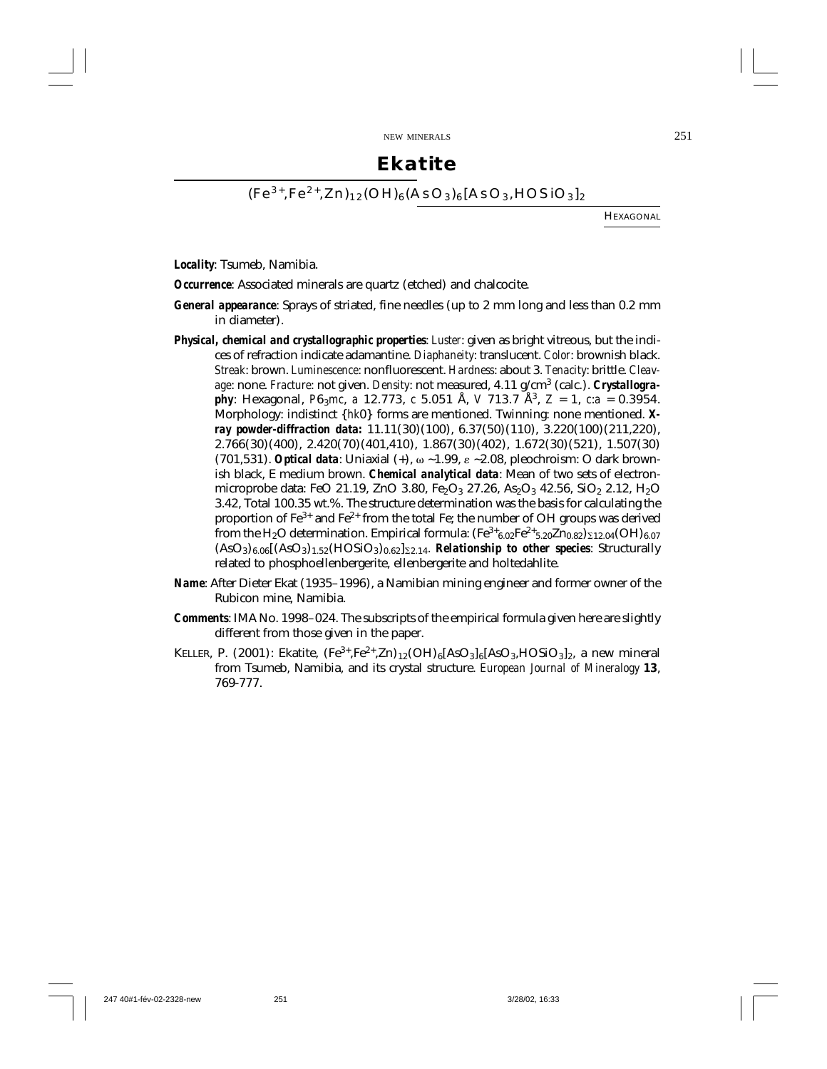#### **Ekatite**

 $(Fe^{3+},Fe^{2+},Zn)_{12}(OH)_{6}(AsO<sub>3</sub>)_{6}[AsO<sub>3</sub>,HOSiO<sub>3</sub>]_{2}$ 

HEXAGONAL

*Locality*: Tsumeb, Namibia.

*Occurrence*: Associated minerals are quartz (etched) and chalcocite.

- *General appearance*: Sprays of striated, fine needles (up to 2 mm long and less than 0.2 mm in diameter).
- *Physical, chemical and crystallographic properties*: *Luster*: given as bright vitreous, but the indices of refraction indicate adamantine. *Diaphaneity*: translucent. *Color*: brownish black. *Streak*: brown. *Luminescence*: nonfluorescent. *Hardness*: about 3. *Tenacity*: brittle. *Cleavage*: none. *Fracture*: not given. *Density*: not measured, 4.11 g/cm3 (calc.). *Crystallography*: Hexagonal, *P*6<sub>3</sub>*mc*, *a* 12.773, *c* 5.051 Å, *V* 713.7 Å<sup>3</sup>, *Z* = 1, *c*:*a* = 0.3954. Morphology: indistinct {*hk*0} forms are mentioned. Twinning: none mentioned. *Xray powder-diffraction data:* 11.11(30)(100), 6.37(50)(110), 3.220(100)(211,220), 2.766(30)(400), 2.420(70)(401,410), 1.867(30)(402), 1.672(30)(521), 1.507(30)  $(701.531)$ . *Optical data*: Uniaxial  $(+)$ ,  $\omega \sim 1.99$ ,  $\varepsilon \sim 2.08$ , pleochroism: O dark brownish black, E medium brown. *Chemical analytical data*: Mean of two sets of electronmicroprobe data: FeO 21.19, ZnO 3.80, Fe<sub>2</sub>O<sub>3</sub> 27.26, As<sub>2</sub>O<sub>3</sub> 42.56, SiO<sub>2</sub> 2.12, H<sub>2</sub>O 3.42, Total 100.35 wt.%. The structure determination was the basis for calculating the proportion of  $Fe^{3+}$  and  $Fe^{2+}$  from the total Fe; the number of OH groups was derived from the H<sub>2</sub>O determination. Empirical formula:  $(Fe^{3+}{}_{6.02}Fe^{2+}{}_{5.20}Zn_{0.82})_{\Sigma12.04} (OH)_{6.07}$  $(AsO<sub>3</sub>)<sub>6.06</sub>[(AsO<sub>3</sub>)<sub>1.52</sub>(HOSiO<sub>3</sub>)<sub>0.62</sub>]<sub>52.14</sub>$ . *Relationship to other species*: Structurally related to phosphoellenbergerite, ellenbergerite and holtedahlite.
- *Name*: After Dieter Ekat (1935–1996), a Namibian mining engineer and former owner of the Rubicon mine, Namibia.
- *Comments*: IMA No. 1998–024. The subscripts of the empirical formula given here are slightly different from those given in the paper.
- KELLER, P. (2001): Ekatite,  $(Fe^{3+}, Fe^{2+}, Zn)_{12} (OH)_{6}[AsO_3]_{6}[AsO_3, HOSiO_3]_{2}$ , a new mineral from Tsumeb, Namibia, and its crystal structure. *European Journal of Mineralogy* **13**, 769-777.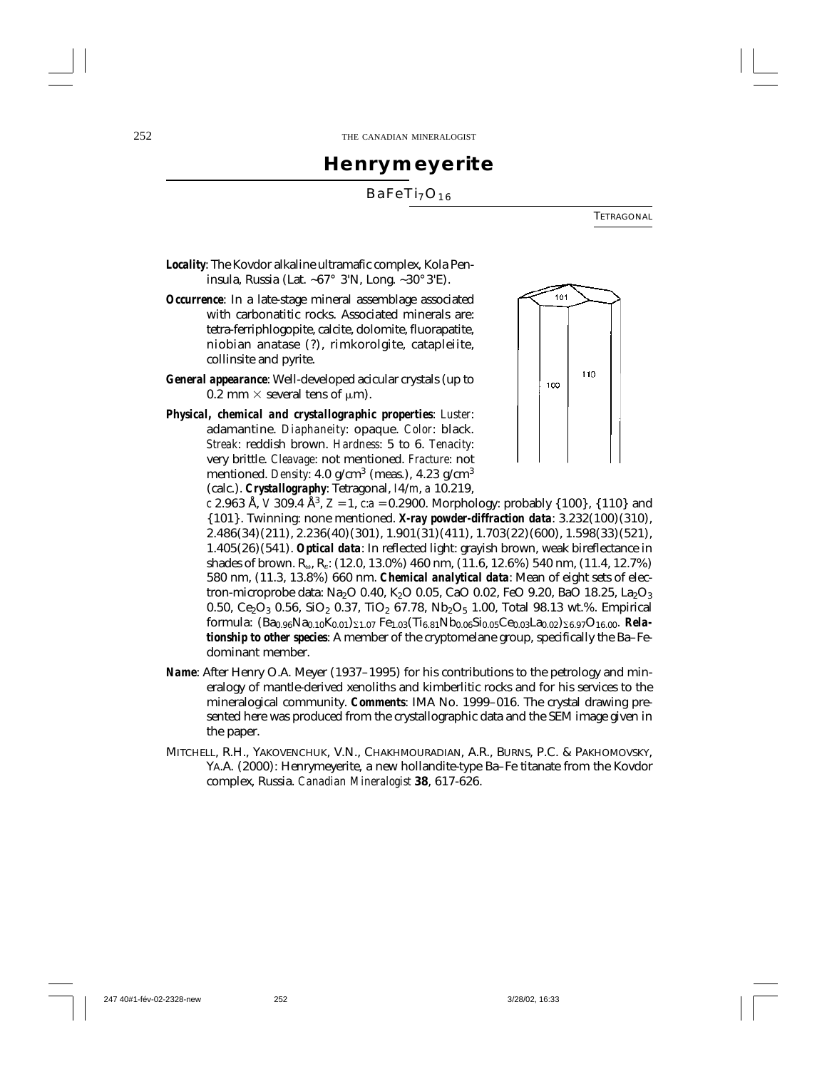### **Henrymeyerite**

#### BaFeTi<sub>7</sub>O<sub>16</sub>

TETRAGONAL

- *Locality*: The Kovdor alkaline ultramafic complex, Kola Peninsula, Russia (Lat. ~67° 3'N, Long. ~30° 3'E).
- *Occurrence*: In a late-stage mineral assemblage associated with carbonatitic rocks. Associated minerals are: tetra-ferriphlogopite, calcite, dolomite, fluorapatite, niobian anatase (?), rimkorolgite, catapleiite, collinsite and pyrite.
- *General appearance*: Well-developed acicular crystals (up to 0.2 mm  $\times$  several tens of  $\mu$ m).
- *Physical, chemical and crystallographic properties*: *Luster*: adamantine. *Diaphaneity*: opaque. *Color*: black. *Streak*: reddish brown. *Hardness*: 5 to 6. *Tenacity*: very brittle. *Cleavage*: not mentioned. *Fracture*: not mentioned. *Density*:  $4.0$  g/cm<sup>3</sup> (meas.),  $4.23$  g/cm<sup>3</sup> (calc.). *Crystallography*: Tetragonal, *I*4/*m*, *a* 10.219,



*c* 2.963 Å, *V* 309.4 Å<sup>3</sup>,  $Z = 1$ ,  $c:a = 0.2900$ . Morphology: probably {100}, {110} and {101}. Twinning: none mentioned. *X-ray powder-diffraction data*: 3.232(100)(310), 2.486(34)(211), 2.236(40)(301), 1.901(31)(411), 1.703(22)(600), 1.598(33)(521), 1.405(26)(541). *Optical data*: In reflected light: grayish brown, weak bireflectance in shades of brown.  $R_{\omega}$ ,  $R_{\zeta}$ : (12.0, 13.0%) 460 nm, (11.6, 12.6%) 540 nm, (11.4, 12.7%) 580 nm, (11.3, 13.8%) 660 nm. *Chemical analytical data*: Mean of eight sets of electron-microprobe data: Na<sub>2</sub>O 0.40, K<sub>2</sub>O 0.05, CaO 0.02, FeO 9.20, BaO 18.25, La<sub>2</sub>O<sub>3</sub> 0.50, Ce<sub>2</sub>O<sub>3</sub> 0.56, SiO<sub>2</sub> 0.37, TiO<sub>2</sub> 67.78, Nb<sub>2</sub>O<sub>5</sub> 1.00, Total 98.13 wt.%. Empirical formula:  $(Ba_{0.96}Na_{0.10}K_{0.01})_{\Sigma1.07}$  Fe<sub>1.03</sub>(Ti<sub>6.81</sub>Nb<sub>0.06</sub>Si<sub>0.05</sub>Ce<sub>0.03</sub>La<sub>0.02</sub>)<sub> $\Sigma$ 6.97</sub>O<sub>16.00</sub>. *Relationship to other species*: A member of the cryptomelane group, specifically the Ba–Fedominant member.

- *Name*: After Henry O.A. Meyer (1937–1995) for his contributions to the petrology and mineralogy of mantle-derived xenoliths and kimberlitic rocks and for his services to the mineralogical community. *Comments*: IMA No. 1999–016. The crystal drawing presented here was produced from the crystallographic data and the SEM image given in the paper.
- MITCHELL, R.H., YAKOVENCHUK, V.N., CHAKHMOURADIAN, A.R., BURNS, P.C. & PAKHOMOVSKY, YA.A. (2000): Henrymeyerite, a new hollandite-type Ba–Fe titanate from the Kovdor complex, Russia. *Canadian Mineralogist* **38**, 617-626.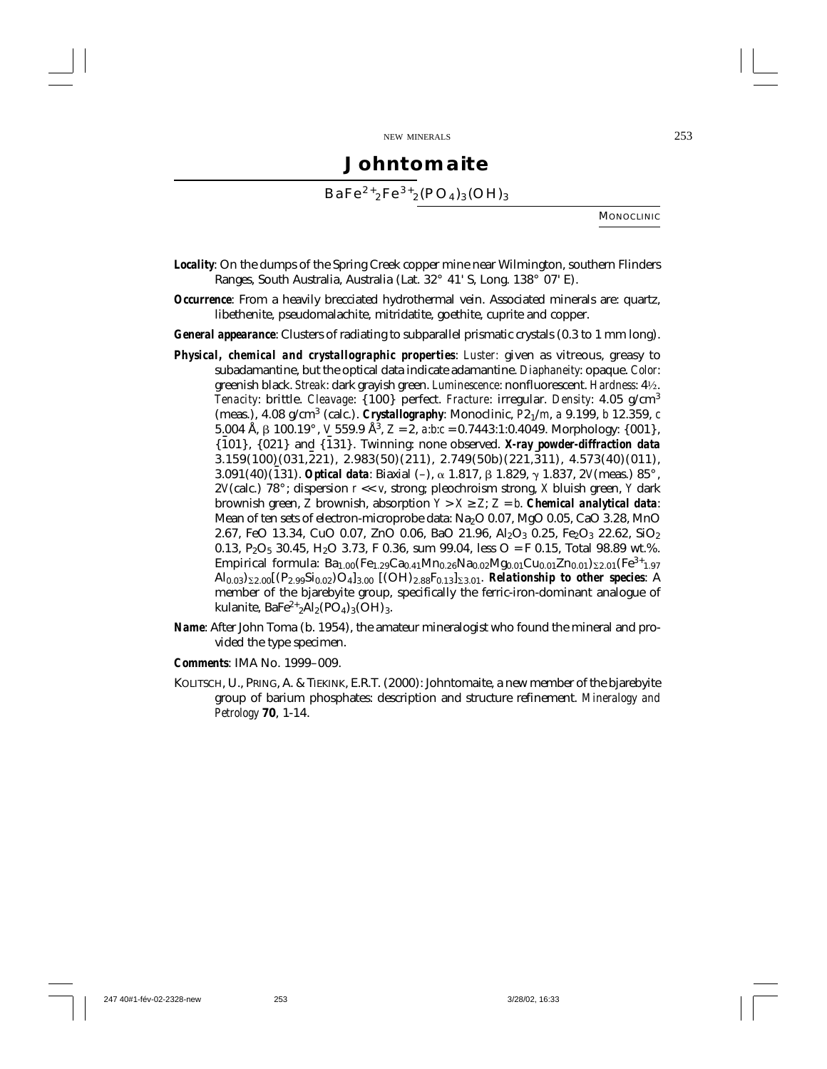# **Johntomaite**

 $BaFe<sup>2+</sup><sub>2</sub>Fe<sup>3+</sup><sub>2</sub>(PO<sub>4</sub>)<sub>3</sub>(OH)<sub>3</sub>$ 

**MONOCLINIC** 

- *Locality*: On the dumps of the Spring Creek copper mine near Wilmington, southern Flinders Ranges, South Australia, Australia (Lat. 32° 41' S, Long. 138° 07' E).
- *Occurrence*: From a heavily brecciated hydrothermal vein. Associated minerals are: quartz, libethenite, pseudomalachite, mitridatite, goethite, cuprite and copper.
- *General appearance*: Clusters of radiating to subparallel prismatic crystals (0.3 to 1 mm long).
- *Physical, chemical and crystallographic properties*: *Luster:* given as vitreous, greasy to subadamantine, but the optical data indicate adamantine. *Diaphaneity*: opaque. *Color*: greenish black. *Streak*: dark grayish green. *Luminescence*: nonfluorescent. *Hardness*: 4½. *Tenacity*: brittle. *Cleavage*: {100} perfect. *Fracture*: irregular. *Density*: 4.05 g/cm<sup>3</sup> (meas.), 4.08 g/cm3 (calc.). *Crystallography*: Monoclinic, *P*21/*m*, *a* 9.199, *b* 12.359, *c* 5.004 Å, β 100.19°, *V* 559.9 Å<sup>3</sup>, *Z* = 2, *a*:*b*:*c* = 0.7443:1:0.4049. Morphology: {001}, {¯ 101}, {021} and {¯ 131}. Twinning: none observed. *X-ray powder-diffraction data*  $3.159(100)(031,221), 2.983(50)(211), 2.749(50b)(221,311), 4.573(40)(011),$ 3.091(40)(131). *Optical data*: Biaxial (-), α 1.817, β 1.829, γ 1.837, 2*V*(meas.) 85°, 2*V*(calc.) 78° ; dispersion *r* << *v*, strong; pleochroism strong, *X* bluish green, *Y* dark brownish green, *Z* brownish, absorption  $Y > X \geq Z$ ;  $Z = b$ . *Chemical analytical data*: Mean of ten sets of electron-microprobe data:  $Na<sub>2</sub>O$  0.07, MgO 0.05, CaO 3.28, MnO 2.67, FeO 13.34, CuO 0.07, ZnO 0.06, BaO 21.96, Al<sub>2</sub>O<sub>3</sub> 0.25, Fe<sub>2</sub>O<sub>3</sub> 22.62, SiO<sub>2</sub> 0.13, P<sub>2</sub>O<sub>5</sub> 30.45, H<sub>2</sub>O 3.73, F 0.36, sum 99.04, less O = F 0.15, Total 98.89 wt.%. Empirical formula:  $Ba_{1.00}(Fe_{1.29}Ca_{0.41}Mn_{0.26}Na_{0.02}Mg_{0.01}Cu_{0.01}Zn_{0.01})_{\Sigma2.01}(Fe^{3+}_{1.97}$  $A\begin{bmatrix} 0 & 0 & 0 \\ 0 & 0 & 1 \end{bmatrix}$   $\Sigma_{2.00}$   $[(P_{2.99}Si_{0.02})O_{4}]_{3.00}$   $[(OH)_{2.88}F_{0.13}]_{2.3.01}$ . *Relationship to other species*: A member of the bjarebyite group, specifically the ferric-iron-dominant analogue of kulanite,  $BaFe<sup>2+</sup><sub>2</sub>Al<sub>2</sub>(PO<sub>4</sub>)<sub>3</sub>(OH)<sub>3</sub>.$
- *Name*: After John Toma (b. 1954), the amateur mineralogist who found the mineral and provided the type specimen.
- *Comments*: IMA No. 1999–009.
- KOLITSCH, U., PRING, A. & TIEKINK, E.R.T. (2000): Johntomaite, a new member of the bjarebyite group of barium phosphates: description and structure refinement. *Mineralogy and Petrology* **70**, 1-14.